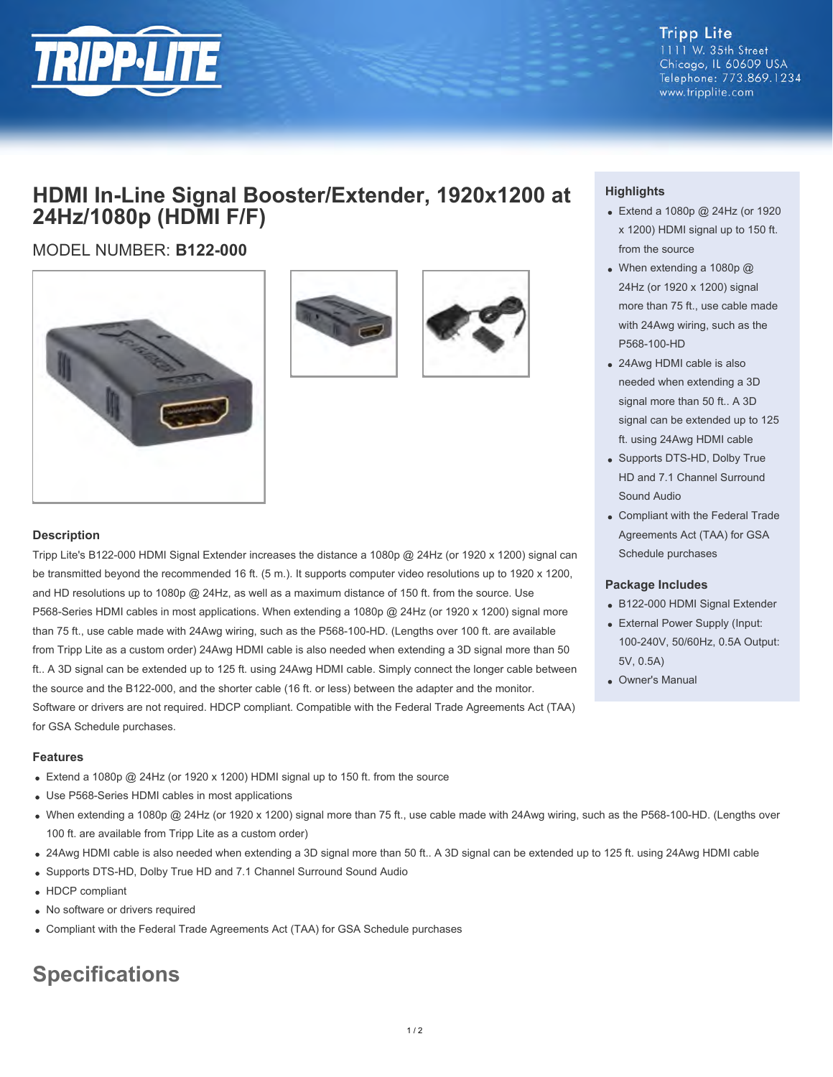

**Tripp Lite** 1111 W. 35th Street Chicago, IL 60609 USA Telephone: 773.869.1234 www.tripplite.com

## **HDMI In-Line Signal Booster/Extender, 1920x1200 at 24Hz/1080p (HDMI F/F)**

### MODEL NUMBER: **B122-000**







#### **Description**

Tripp Lite's B122-000 HDMI Signal Extender increases the distance a 1080p @ 24Hz (or 1920 x 1200) signal can be transmitted beyond the recommended 16 ft. (5 m.). It supports computer video resolutions up to 1920 x 1200, and HD resolutions up to 1080p @ 24Hz, as well as a maximum distance of 150 ft. from the source. Use P568-Series HDMI cables in most applications. When extending a 1080p @ 24Hz (or 1920 x 1200) signal more than 75 ft., use cable made with 24Awg wiring, such as the P568-100-HD. (Lengths over 100 ft. are available from Tripp Lite as a custom order) 24Awg HDMI cable is also needed when extending a 3D signal more than 50 ft.. A 3D signal can be extended up to 125 ft. using 24Awg HDMI cable. Simply connect the longer cable between the source and the B122-000, and the shorter cable (16 ft. or less) between the adapter and the monitor. Software or drivers are not required. HDCP compliant. Compatible with the Federal Trade Agreements Act (TAA) for GSA Schedule purchases.

#### **Features**

- Extend a 1080p @ 24Hz (or 1920 x 1200) HDMI signal up to 150 ft. from the source
- Use P568-Series HDMI cables in most applications
- When extending a 1080p @ 24Hz (or 1920 x 1200) signal more than 75 ft., use cable made with 24Awg wiring, such as the P568-100-HD. (Lengths over 100 ft. are available from Tripp Lite as a custom order)
- 24Awg HDMI cable is also needed when extending a 3D signal more than 50 ft.. A 3D signal can be extended up to 125 ft. using 24Awg HDMI cable
- Supports DTS-HD, Dolby True HD and 7.1 Channel Surround Sound Audio
- HDCP compliant
- No software or drivers required
- Compliant with the Federal Trade Agreements Act (TAA) for GSA Schedule purchases

# **Specifications**

### **Highlights**

- Extend a 1080p @ 24Hz (or 1920 x 1200) HDMI signal up to 150 ft. from the source
- When extending a 1080p @ 24Hz (or 1920 x 1200) signal more than 75 ft., use cable made with 24Awg wiring, such as the P568-100-HD
- 24Awg HDMI cable is also needed when extending a 3D signal more than 50 ft.. A 3D signal can be extended up to 125 ft. using 24Awg HDMI cable
- Supports DTS-HD, Dolby True HD and 7.1 Channel Surround Sound Audio
- Compliant with the Federal Trade Agreements Act (TAA) for GSA Schedule purchases

#### **Package Includes**

- B122-000 HDMI Signal Extender
- External Power Supply (Input: 100-240V, 50/60Hz, 0.5A Output: 5V, 0.5A)
- Owner's Manual